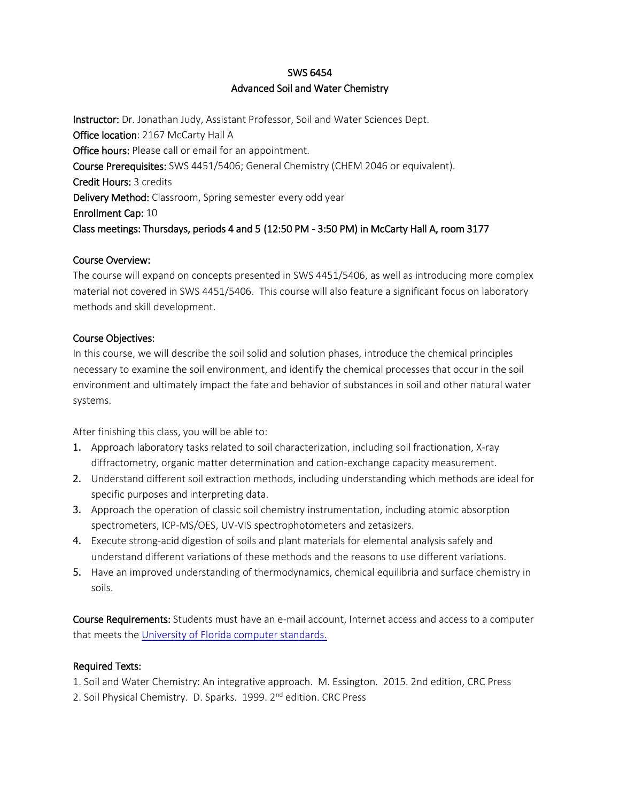# SWS 6454 Advanced Soil and Water Chemistry

Instructor: Dr. Jonathan Judy, Assistant Professor, Soil and Water Sciences Dept. Office location: 2167 McCarty Hall A Office hours: Please call or email for an appointment. Course Prerequisites: SWS 4451/5406; General Chemistry (CHEM 2046 or equivalent). Credit Hours: 3 credits Delivery Method: Classroom, Spring semester every odd year Enrollment Cap: 10 Class meetings: Thursdays, periods 4 and 5 (12:50 PM - 3:50 PM) in McCarty Hall A, room 3177

## Course Overview:

The course will expand on concepts presented in SWS 4451/5406, as well as introducing more complex material not covered in SWS 4451/5406. This course will also feature a significant focus on laboratory methods and skill development.

## Course Objectives:

In this course, we will describe the soil solid and solution phases, introduce the chemical principles necessary to examine the soil environment, and identify the chemical processes that occur in the soil environment and ultimately impact the fate and behavior of substances in soil and other natural water systems.

After finishing this class, you will be able to:

- 1. Approach laboratory tasks related to soil characterization, including soil fractionation, X-ray diffractometry, organic matter determination and cation-exchange capacity measurement.
- 2. Understand different soil extraction methods, including understanding which methods are ideal for specific purposes and interpreting data.
- 3. Approach the operation of classic soil chemistry instrumentation, including atomic absorption spectrometers, ICP-MS/OES, UV-VIS spectrophotometers and zetasizers.
- 4. Execute strong-acid digestion of soils and plant materials for elemental analysis safely and understand different variations of these methods and the reasons to use different variations.
- 5. Have an improved understanding of thermodynamics, chemical equilibria and surface chemistry in soils.

Course Requirements: Students must have an e-mail account, Internet access and access to a computer that meets the [University of Florida computer standards.](http://www.circa.ufl.edu/computers)

# Required Texts:

1. Soil and Water Chemistry: An integrative approach. M. Essington. 2015. 2nd edition, CRC Press 2. Soil Physical Chemistry. D. Sparks. 1999. 2<sup>nd</sup> edition. CRC Press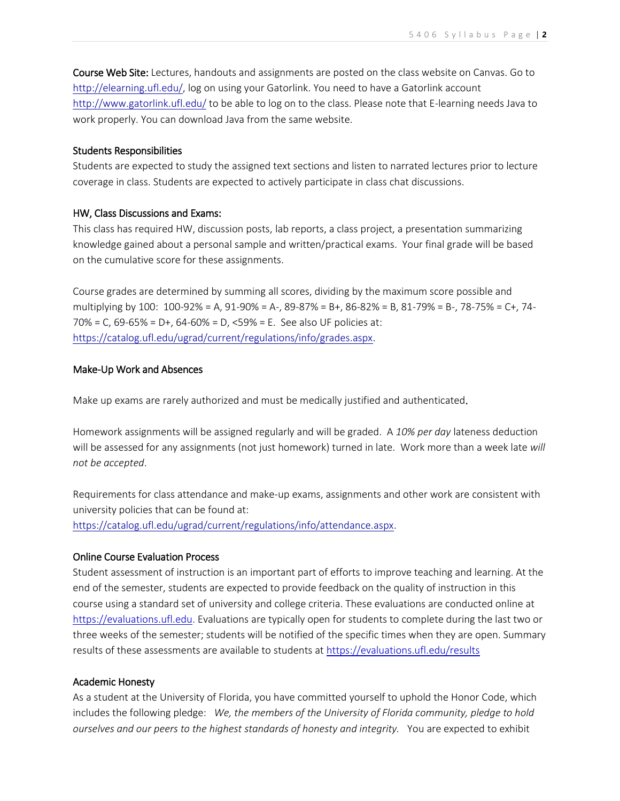Course Web Site: Lectures, handouts and assignments are posted on the class website on Canvas. Go to [http://elearning.ufl.edu/,](http://elearning.ufl.edu/) log on using your Gatorlink. You need to have a Gatorlink account <http://www.gatorlink.ufl.edu/> to be able to log on to the class. Please note that E-learning needs Java to work properly. You can download Java from the same website.

### Students Responsibilities

Students are expected to study the assigned text sections and listen to narrated lectures prior to lecture coverage in class. Students are expected to actively participate in class chat discussions.

#### HW, Class Discussions and Exams:

This class has required HW, discussion posts, lab reports, a class project, a presentation summarizing knowledge gained about a personal sample and written/practical exams. Your final grade will be based on the cumulative score for these assignments.

Course grades are determined by summing all scores, dividing by the maximum score possible and multiplying by 100: 100-92% = A, 91-90% = A-, 89-87% = B+, 86-82% = B, 81-79% = B-, 78-75% = C+, 74- 70% = C, 69-65% = D+, 64-60% = D, <59% = E. See also UF policies at: [https://catalog.ufl.edu/ugrad/current/regulations/info/grades.aspx.](https://catalog.ufl.edu/ugrad/current/regulations/info/grades.aspx)

### Make-Up Work and Absences

Make up exams are rarely authorized and must be medically justified and authenticated.

Homework assignments will be assigned regularly and will be graded. A *10% per day* lateness deduction will be assessed for any assignments (not just homework) turned in late. Work more than a week late *will not be accepted*.

Requirements for class attendance and make-up exams, assignments and other work are consistent with university policies that can be found at:

[https://catalog.ufl.edu/ugrad/current/regulations/info/attendance.aspx.](https://catalog.ufl.edu/ugrad/current/regulations/info/attendance.aspx)

### Online Course Evaluation Process

Student assessment of instruction is an important part of efforts to improve teaching and learning. At the end of the semester, students are expected to provide feedback on the quality of instruction in this course using a standard set of university and college criteria. These evaluations are conducted online at [https://evaluations.ufl.edu.](https://evaluations.ufl.edu/) Evaluations are typically open for students to complete during the last two or three weeks of the semester; students will be notified of the specific times when they are open. Summary results of these assessments are available to students at<https://evaluations.ufl.edu/results>

#### Academic Honesty

As a student at the University of Florida, you have committed yourself to uphold the Honor Code, which includes the following pledge: *We, the members of the University of Florida community, pledge to hold ourselves and our peers to the highest standards of honesty and integrity.* You are expected to exhibit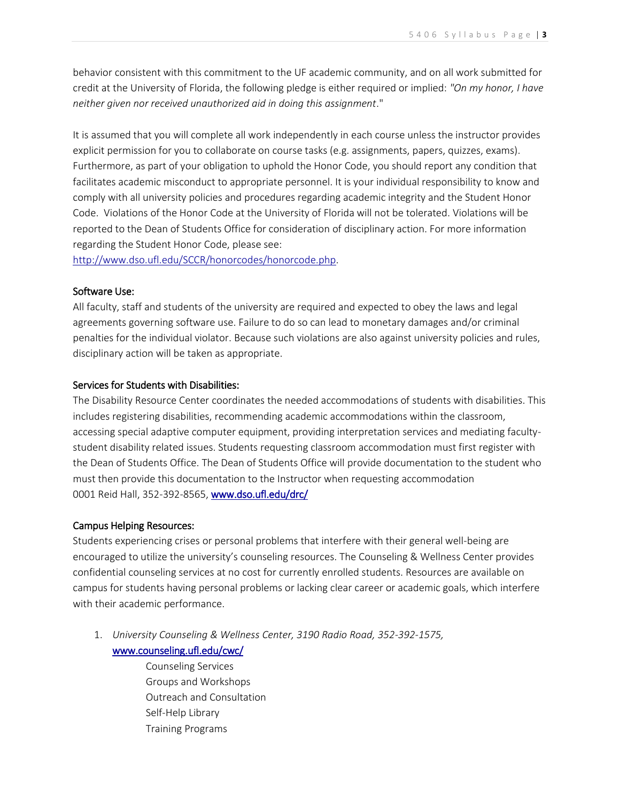behavior consistent with this commitment to the UF academic community, and on all work submitted for credit at the University of Florida, the following pledge is either required or implied: *"On my honor, I have neither given nor received unauthorized aid in doing this assignment*."

It is assumed that you will complete all work independently in each course unless the instructor provides explicit permission for you to collaborate on course tasks (e.g. assignments, papers, quizzes, exams). Furthermore, as part of your obligation to uphold the Honor Code, you should report any condition that facilitates academic misconduct to appropriate personnel. It is your individual responsibility to know and comply with all university policies and procedures regarding academic integrity and the Student Honor Code. Violations of the Honor Code at the University of Florida will not be tolerated. Violations will be reported to the Dean of Students Office for consideration of disciplinary action. For more information regarding the Student Honor Code, please see:

[http://www.dso.ufl.edu/SCCR/honorcodes/honorcode.php.](http://www.dso.ufl.edu/SCCR/honorcodes/honorcode.php)

### Software Use:

All faculty, staff and students of the university are required and expected to obey the laws and legal agreements governing software use. Failure to do so can lead to monetary damages and/or criminal penalties for the individual violator. Because such violations are also against university policies and rules, disciplinary action will be taken as appropriate.

### Services for Students with Disabilities:

The Disability Resource Center coordinates the needed accommodations of students with disabilities. This includes registering disabilities, recommending academic accommodations within the classroom, accessing special adaptive computer equipment, providing interpretation services and mediating facultystudent disability related issues. Students requesting classroom accommodation must first register with the Dean of Students Office. The Dean of Students Office will provide documentation to the student who must then provide this documentation to the Instructor when requesting accommodation 0001 Reid Hall, 352-392-8565, [www.dso.ufl.edu/drc/](http://www.dso.ufl.edu/drc/)

### Campus Helping Resources:

Students experiencing crises or personal problems that interfere with their general well-being are encouraged to utilize the university's counseling resources. The Counseling & Wellness Center provides confidential counseling services at no cost for currently enrolled students. Resources are available on campus for students having personal problems or lacking clear career or academic goals, which interfere with their academic performance.

1. *University Counseling & Wellness Center, 3190 Radio Road, 352-392-1575,* [www.counseling.ufl.edu/cwc/](http://www.counseling.ufl.edu/cwc/) 

> Counseling Services Groups and Workshops Outreach and Consultation Self-Help Library Training Programs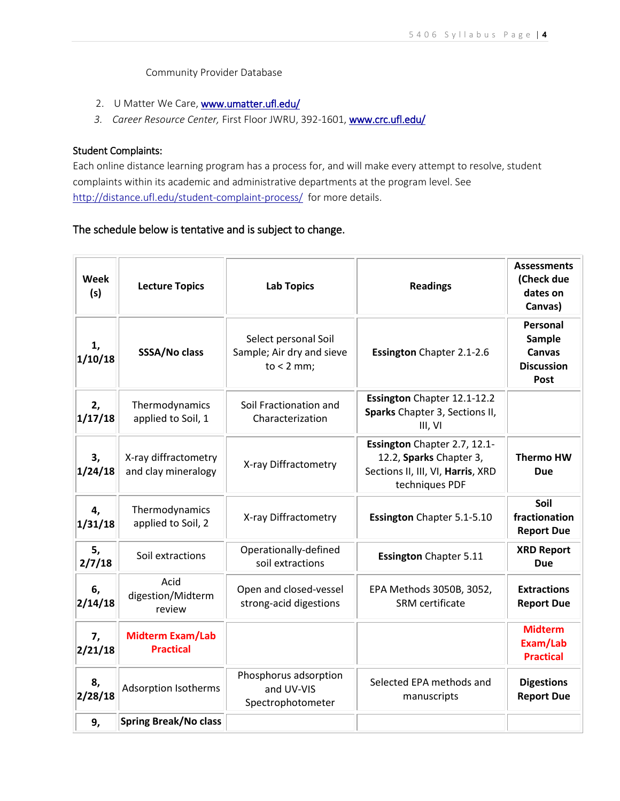Community Provider Database

- 2. U Matter We Care, www.umatter.ufl.edu/
- *3. Career Resource Center,* First Floor JWRU, 392-1601, [www.crc.ufl.edu/](http://www.crc.ufl.edu/)

### Student Complaints:

Each online distance learning program has a process for, and will make every attempt to resolve, student complaints within its academic and administrative departments at the program level. See <http://distance.ufl.edu/student-complaint-process/> for more details.

# The schedule below is tentative and is subject to change.

| <b>Week</b><br>(s) | <b>Lecture Topics</b>                       | <b>Lab Topics</b>                                                 | <b>Readings</b>                                                                                                | <b>Assessments</b><br>(Check due<br>dates on<br>Canvas)          |
|--------------------|---------------------------------------------|-------------------------------------------------------------------|----------------------------------------------------------------------------------------------------------------|------------------------------------------------------------------|
| 1,<br>1/10/18      | SSSA/No class                               | Select personal Soil<br>Sample; Air dry and sieve<br>$to < 2$ mm; | <b>Essington</b> Chapter 2.1-2.6                                                                               | Personal<br>Sample<br><b>Canvas</b><br><b>Discussion</b><br>Post |
| 2,<br>1/17/18      | Thermodynamics<br>applied to Soil, 1        | Soil Fractionation and<br>Characterization                        | Essington Chapter 12.1-12.2<br>Sparks Chapter 3, Sections II,<br>III, VI                                       |                                                                  |
| 3,<br>1/24/18      | X-ray diffractometry<br>and clay mineralogy | X-ray Diffractometry                                              | Essington Chapter 2.7, 12.1-<br>12.2, Sparks Chapter 3,<br>Sections II, III, VI, Harris, XRD<br>techniques PDF | <b>Thermo HW</b><br><b>Due</b>                                   |
| 4,<br>1/31/18      | Thermodynamics<br>applied to Soil, 2        | X-ray Diffractometry                                              | Essington Chapter 5.1-5.10                                                                                     | Soil<br>fractionation<br><b>Report Due</b>                       |
| 5,<br>2/7/18       | Soil extractions                            | Operationally-defined<br>soil extractions                         | <b>Essington Chapter 5.11</b>                                                                                  | <b>XRD Report</b><br><b>Due</b>                                  |
| 6,<br>2/14/18      | Acid<br>digestion/Midterm<br>review         | Open and closed-vessel<br>strong-acid digestions                  | EPA Methods 3050B, 3052,<br>SRM certificate                                                                    | <b>Extractions</b><br><b>Report Due</b>                          |
| 7,<br>2/21/18      | <b>Midterm Exam/Lab</b><br><b>Practical</b> |                                                                   |                                                                                                                | <b>Midterm</b><br>Exam/Lab<br><b>Practical</b>                   |
| 8,<br>2/28/18      | <b>Adsorption Isotherms</b>                 | Phosphorus adsorption<br>and UV-VIS<br>Spectrophotometer          | Selected EPA methods and<br>manuscripts                                                                        | <b>Digestions</b><br><b>Report Due</b>                           |
| 9,                 | <b>Spring Break/No class</b>                |                                                                   |                                                                                                                |                                                                  |